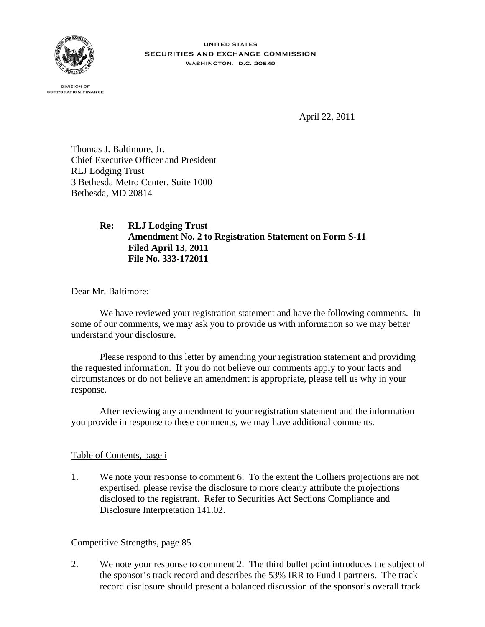

**UNITED STATES** SECURITIES AND EXCHANGE COMMISSION **WASHINGTON, D.C. 20549** 

**DIVISION OF CORPORATION FINANCE** 

April 22, 2011

Thomas J. Baltimore, Jr. Chief Executive Officer and President RLJ Lodging Trust 3 Bethesda Metro Center, Suite 1000 Bethesda, MD 20814

## **Re: RLJ Lodging Trust Amendment No. 2 to Registration Statement on Form S-11 Filed April 13, 2011 File No. 333-172011**

Dear Mr. Baltimore:

We have reviewed your registration statement and have the following comments. In some of our comments, we may ask you to provide us with information so we may better understand your disclosure.

Please respond to this letter by amending your registration statement and providing the requested information. If you do not believe our comments apply to your facts and circumstances or do not believe an amendment is appropriate, please tell us why in your response.

After reviewing any amendment to your registration statement and the information you provide in response to these comments, we may have additional comments.

## Table of Contents, page i

1. We note your response to comment 6. To the extent the Colliers projections are not expertised, please revise the disclosure to more clearly attribute the projections disclosed to the registrant. Refer to Securities Act Sections Compliance and Disclosure Interpretation 141.02.

## Competitive Strengths, page 85

2. We note your response to comment 2. The third bullet point introduces the subject of the sponsor's track record and describes the 53% IRR to Fund I partners. The track record disclosure should present a balanced discussion of the sponsor's overall track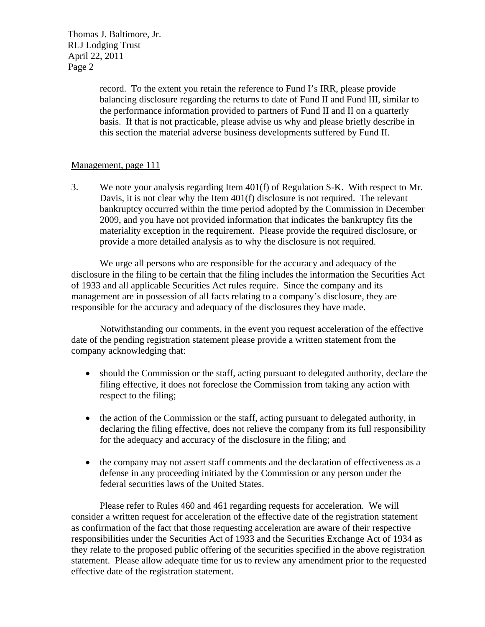Thomas J. Baltimore, Jr. RLJ Lodging Trust April 22, 2011 Page 2

> record. To the extent you retain the reference to Fund I's IRR, please provide balancing disclosure regarding the returns to date of Fund II and Fund III, similar to the performance information provided to partners of Fund II and II on a quarterly basis. If that is not practicable, please advise us why and please briefly describe in this section the material adverse business developments suffered by Fund II.

## Management, page 111

3. We note your analysis regarding Item 401(f) of Regulation S-K. With respect to Mr. Davis, it is not clear why the Item 401(f) disclosure is not required. The relevant bankruptcy occurred within the time period adopted by the Commission in December 2009, and you have not provided information that indicates the bankruptcy fits the materiality exception in the requirement. Please provide the required disclosure, or provide a more detailed analysis as to why the disclosure is not required.

We urge all persons who are responsible for the accuracy and adequacy of the disclosure in the filing to be certain that the filing includes the information the Securities Act of 1933 and all applicable Securities Act rules require. Since the company and its management are in possession of all facts relating to a company's disclosure, they are responsible for the accuracy and adequacy of the disclosures they have made.

Notwithstanding our comments, in the event you request acceleration of the effective date of the pending registration statement please provide a written statement from the company acknowledging that:

- should the Commission or the staff, acting pursuant to delegated authority, declare the filing effective, it does not foreclose the Commission from taking any action with respect to the filing;
- the action of the Commission or the staff, acting pursuant to delegated authority, in declaring the filing effective, does not relieve the company from its full responsibility for the adequacy and accuracy of the disclosure in the filing; and
- the company may not assert staff comments and the declaration of effectiveness as a defense in any proceeding initiated by the Commission or any person under the federal securities laws of the United States.

Please refer to Rules 460 and 461 regarding requests for acceleration. We will consider a written request for acceleration of the effective date of the registration statement as confirmation of the fact that those requesting acceleration are aware of their respective responsibilities under the Securities Act of 1933 and the Securities Exchange Act of 1934 as they relate to the proposed public offering of the securities specified in the above registration statement. Please allow adequate time for us to review any amendment prior to the requested effective date of the registration statement.